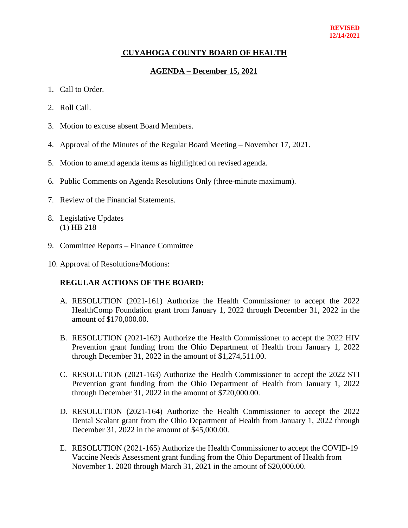#### **REVISED 12/14/2021**

## **CUYAHOGA COUNTY BOARD OF HEALTH**

## **AGENDA – December 15, 2021**

- 1. Call to Order.
- 2. Roll Call.
- 3. Motion to excuse absent Board Members.
- 4. Approval of the Minutes of the Regular Board Meeting November 17, 2021.
- 5. Motion to amend agenda items as highlighted on revised agenda.
- 6. Public Comments on Agenda Resolutions Only (three-minute maximum).
- 7. Review of the Financial Statements.
- 8. Legislative Updates (1) HB 218
- 9. Committee Reports Finance Committee
- 10. Approval of Resolutions/Motions:

#### **REGULAR ACTIONS OF THE BOARD:**

- A. RESOLUTION (2021-161) Authorize the Health Commissioner to accept the 2022 HealthComp Foundation grant from January 1, 2022 through December 31, 2022 in the amount of \$170,000.00.
- B. RESOLUTION (2021-162) Authorize the Health Commissioner to accept the 2022 HIV Prevention grant funding from the Ohio Department of Health from January 1, 2022 through December 31, 2022 in the amount of \$1,274,511.00.
- C. RESOLUTION (2021-163) Authorize the Health Commissioner to accept the 2022 STI Prevention grant funding from the Ohio Department of Health from January 1, 2022 through December 31, 2022 in the amount of \$720,000.00.
- D. RESOLUTION (2021-164) Authorize the Health Commissioner to accept the 2022 Dental Sealant grant from the Ohio Department of Health from January 1, 2022 through December 31, 2022 in the amount of \$45,000.00.
- E. RESOLUTION (2021-165) Authorize the Health Commissioner to accept the COVID-19 Vaccine Needs Assessment grant funding from the Ohio Department of Health from November 1. 2020 through March 31, 2021 in the amount of \$20,000.00.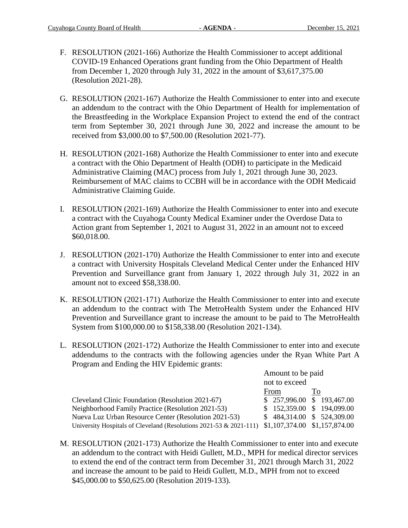- F. RESOLUTION (2021-166) Authorize the Health Commissioner to accept additional COVID-19 Enhanced Operations grant funding from the Ohio Department of Health from December 1, 2020 through July 31, 2022 in the amount of \$3,617,375.00 (Resolution 2021-28).
- G. RESOLUTION (2021-167) Authorize the Health Commissioner to enter into and execute an addendum to the contract with the Ohio Department of Health for implementation of the Breastfeeding in the Workplace Expansion Project to extend the end of the contract term from September 30, 2021 through June 30, 2022 and increase the amount to be received from \$3,000.00 to \$7,500.00 (Resolution 2021-77).
- H. RESOLUTION (2021-168) Authorize the Health Commissioner to enter into and execute a contract with the Ohio Department of Health (ODH) to participate in the Medicaid Administrative Claiming (MAC) process from July 1, 2021 through June 30, 2023. Reimbursement of MAC claims to CCBH will be in accordance with the ODH Medicaid Administrative Claiming Guide.
- I. RESOLUTION (2021-169) Authorize the Health Commissioner to enter into and execute a contract with the Cuyahoga County Medical Examiner under the Overdose Data to Action grant from September 1, 2021 to August 31, 2022 in an amount not to exceed \$60,018.00.
- J. RESOLUTION (2021-170) Authorize the Health Commissioner to enter into and execute a contract with University Hospitals Cleveland Medical Center under the Enhanced HIV Prevention and Surveillance grant from January 1, 2022 through July 31, 2022 in an amount not to exceed \$58,338.00.
- K. RESOLUTION (2021-171) Authorize the Health Commissioner to enter into and execute an addendum to the contract with The MetroHealth System under the Enhanced HIV Prevention and Surveillance grant to increase the amount to be paid to The MetroHealth System from \$100,000.00 to \$158,338.00 (Resolution 2021-134).
- L. RESOLUTION (2021-172) Authorize the Health Commissioner to enter into and execute addendums to the contracts with the following agencies under the Ryan White Part A Program and Ending the HIV Epidemic grants:

|                                                                                                  | Amount to be paid |                           |
|--------------------------------------------------------------------------------------------------|-------------------|---------------------------|
|                                                                                                  | not to exceed     |                           |
|                                                                                                  | From              | To                        |
| Cleveland Clinic Foundation (Resolution 2021-67)                                                 |                   | \$257,996.00 \$193,467.00 |
| Neighborhood Family Practice (Resolution 2021-53)                                                |                   | \$152,359.00 \$194,099.00 |
| Nueva Luz Urban Resource Center (Resolution 2021-53)                                             |                   | \$484,314.00 \$524,309.00 |
| University Hospitals of Cleveland (Resolutions 2021-53 & 2021-111) \$1,107,374.00 \$1,157,874.00 |                   |                           |

M. RESOLUTION (2021-173) Authorize the Health Commissioner to enter into and execute an addendum to the contract with Heidi Gullett, M.D., MPH for medical director services to extend the end of the contract term from December 31, 2021 through March 31, 2022 and increase the amount to be paid to Heidi Gullett, M.D., MPH from not to exceed \$45,000.00 to \$50,625.00 (Resolution 2019-133).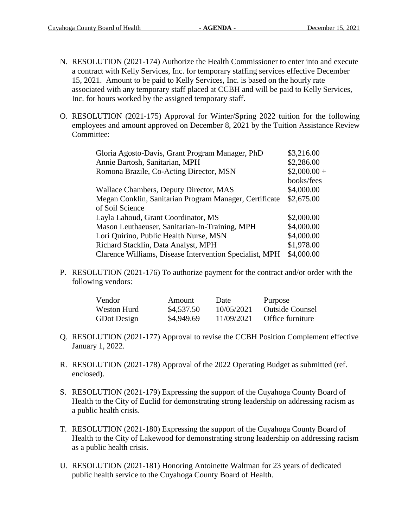- N. RESOLUTION (2021-174) Authorize the Health Commissioner to enter into and execute a contract with Kelly Services, Inc. for temporary staffing services effective December 15, 2021. Amount to be paid to Kelly Services, Inc. is based on the hourly rate associated with any temporary staff placed at CCBH and will be paid to Kelly Services, Inc. for hours worked by the assigned temporary staff.
- O. RESOLUTION (2021-175) Approval for Winter/Spring 2022 tuition for the following employees and amount approved on December 8, 2021 by the Tuition Assistance Review Committee:

| \$3,216.00   |
|--------------|
| \$2,286.00   |
| $$2,000.00+$ |
| books/fees   |
| \$4,000.00   |
| \$2,675.00   |
|              |
| \$2,000.00   |
| \$4,000.00   |
| \$4,000.00   |
| \$1,978.00   |
| \$4,000.00   |
|              |

P. RESOLUTION (2021-176) To authorize payment for the contract and/or order with the following vendors:

| Vendor             | Amount     | Date       | <b>Purpose</b>         |
|--------------------|------------|------------|------------------------|
| Weston Hurd        | \$4,537.50 | 10/05/2021 | <b>Outside Counsel</b> |
| <b>GDot Design</b> | \$4,949.69 | 11/09/2021 | Office furniture       |

- Q. RESOLUTION (2021-177) Approval to revise the CCBH Position Complement effective January 1, 2022.
- R. RESOLUTION (2021-178) Approval of the 2022 Operating Budget as submitted (ref. enclosed).
- S. RESOLUTION (2021-179) Expressing the support of the Cuyahoga County Board of Health to the City of Euclid for demonstrating strong leadership on addressing racism as a public health crisis.
- T. RESOLUTION (2021-180) Expressing the support of the Cuyahoga County Board of Health to the City of Lakewood for demonstrating strong leadership on addressing racism as a public health crisis.
- U. RESOLUTION (2021-181) Honoring Antoinette Waltman for 23 years of dedicated public health service to the Cuyahoga County Board of Health.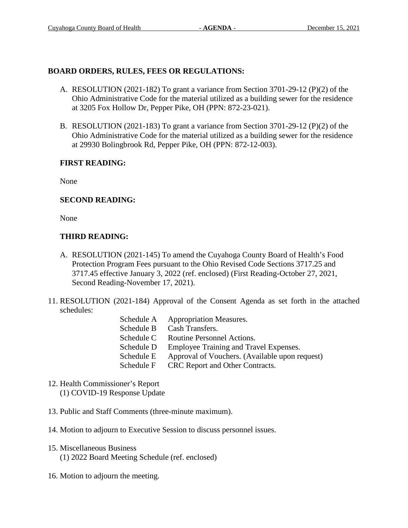# **BOARD ORDERS, RULES, FEES OR REGULATIONS:**

- A. RESOLUTION (2021-182) To grant a variance from Section 3701-29-12 (P)(2) of the Ohio Administrative Code for the material utilized as a building sewer for the residence at 3205 Fox Hollow Dr, Pepper Pike, OH (PPN: 872-23-021).
- B. RESOLUTION (2021-183) To grant a variance from Section 3701-29-12 (P)(2) of the Ohio Administrative Code for the material utilized as a building sewer for the residence at 29930 Bolingbrook Rd, Pepper Pike, OH (PPN: 872-12-003).

## **FIRST READING:**

None

## **SECOND READING:**

None

## **THIRD READING:**

- A. RESOLUTION (2021-145) To amend the Cuyahoga County Board of Health's Food Protection Program Fees pursuant to the Ohio Revised Code Sections 3717.25 and 3717.45 effective January 3, 2022 (ref. enclosed) (First Reading-October 27, 2021, Second Reading-November 17, 2021).
- 11. RESOLUTION (2021-184) Approval of the Consent Agenda as set forth in the attached schedules:
	- Schedule A Appropriation Measures. Schedule B Cash Transfers. Schedule C Routine Personnel Actions. Schedule D Employee Training and Travel Expenses. Schedule E Approval of Vouchers. (Available upon request) Schedule F CRC Report and Other Contracts.
- 12. Health Commissioner's Report (1) COVID-19 Response Update
- 13. Public and Staff Comments (three-minute maximum).
- 14. Motion to adjourn to Executive Session to discuss personnel issues.
- 15. Miscellaneous Business (1) 2022 Board Meeting Schedule (ref. enclosed)
- 16. Motion to adjourn the meeting.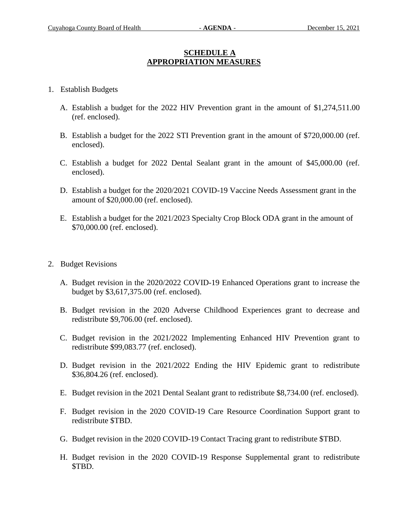# **SCHEDULE A APPROPRIATION MEASURES**

- 1. Establish Budgets
	- A. Establish a budget for the 2022 HIV Prevention grant in the amount of \$1,274,511.00 (ref. enclosed).
	- B. Establish a budget for the 2022 STI Prevention grant in the amount of \$720,000.00 (ref. enclosed).
	- C. Establish a budget for 2022 Dental Sealant grant in the amount of \$45,000.00 (ref. enclosed).
	- D. Establish a budget for the 2020/2021 COVID-19 Vaccine Needs Assessment grant in the amount of \$20,000.00 (ref. enclosed).
	- E. Establish a budget for the 2021/2023 Specialty Crop Block ODA grant in the amount of \$70,000.00 (ref. enclosed).
- 2. Budget Revisions
	- A. Budget revision in the 2020/2022 COVID-19 Enhanced Operations grant to increase the budget by \$3,617,375.00 (ref. enclosed).
	- B. Budget revision in the 2020 Adverse Childhood Experiences grant to decrease and redistribute \$9,706.00 (ref. enclosed).
	- C. Budget revision in the 2021/2022 Implementing Enhanced HIV Prevention grant to redistribute \$99,083.77 (ref. enclosed).
	- D. Budget revision in the 2021/2022 Ending the HIV Epidemic grant to redistribute \$36,804.26 (ref. enclosed).
	- E. Budget revision in the 2021 Dental Sealant grant to redistribute \$8,734.00 (ref. enclosed).
	- F. Budget revision in the 2020 COVID-19 Care Resource Coordination Support grant to redistribute \$TBD.
	- G. Budget revision in the 2020 COVID-19 Contact Tracing grant to redistribute \$TBD.
	- H. Budget revision in the 2020 COVID-19 Response Supplemental grant to redistribute \$TBD.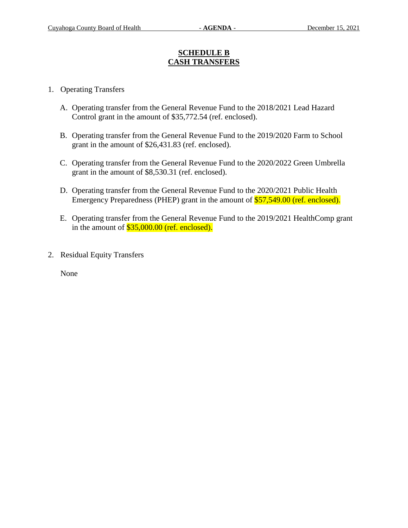## **SCHEDULE B CASH TRANSFERS**

- 1. Operating Transfers
	- A. Operating transfer from the General Revenue Fund to the 2018/2021 Lead Hazard Control grant in the amount of \$35,772.54 (ref. enclosed).
	- B. Operating transfer from the General Revenue Fund to the 2019/2020 Farm to School grant in the amount of \$26,431.83 (ref. enclosed).
	- C. Operating transfer from the General Revenue Fund to the 2020/2022 Green Umbrella grant in the amount of \$8,530.31 (ref. enclosed).
	- D. Operating transfer from the General Revenue Fund to the 2020/2021 Public Health Emergency Preparedness (PHEP) grant in the amount of \$57,549.00 (ref. enclosed).
	- E. Operating transfer from the General Revenue Fund to the 2019/2021 HealthComp grant in the amount of  $$35,000.00$  (ref. enclosed).
- 2. Residual Equity Transfers

None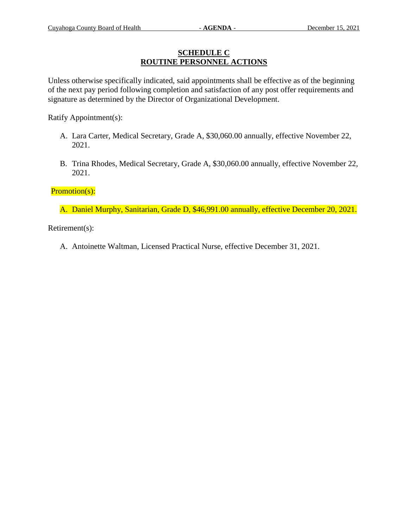## **SCHEDULE C ROUTINE PERSONNEL ACTIONS**

Unless otherwise specifically indicated, said appointments shall be effective as of the beginning of the next pay period following completion and satisfaction of any post offer requirements and signature as determined by the Director of Organizational Development.

Ratify Appointment(s):

- A. Lara Carter, Medical Secretary, Grade A, \$30,060.00 annually, effective November 22, 2021.
- B. Trina Rhodes, Medical Secretary, Grade A, \$30,060.00 annually, effective November 22, 2021.

Promotion(s):

A. Daniel Murphy, Sanitarian, Grade D, \$46,991.00 annually, effective December 20, 2021.

Retirement(s):

A. Antoinette Waltman, Licensed Practical Nurse, effective December 31, 2021.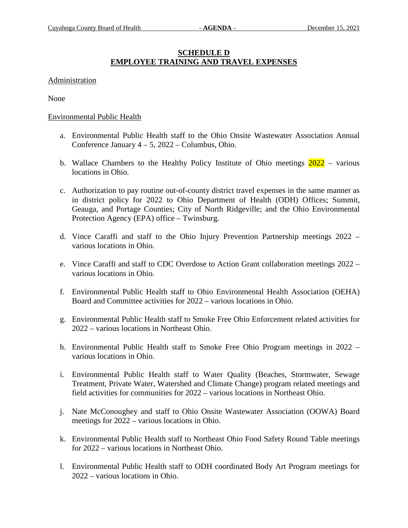# **SCHEDULE D EMPLOYEE TRAINING AND TRAVEL EXPENSES**

#### Administration

None

#### Environmental Public Health

- a. Environmental Public Health staff to the Ohio Onsite Wastewater Association Annual Conference January 4 – 5, 2022 – Columbus, Ohio.
- b. Wallace Chambers to the Healthy Policy Institute of Ohio meetings  $2022$  various locations in Ohio.
- c. Authorization to pay routine out-of-county district travel expenses in the same manner as in district policy for 2022 to Ohio Department of Health (ODH) Offices; Summit, Geauga, and Portage Counties; City of North Ridgeville; and the Ohio Environmental Protection Agency (EPA) office – Twinsburg.
- d. Vince Caraffi and staff to the Ohio Injury Prevention Partnership meetings 2022 various locations in Ohio.
- e. Vince Caraffi and staff to CDC Overdose to Action Grant collaboration meetings 2022 various locations in Ohio.
- f. Environmental Public Health staff to Ohio Environmental Health Association (OEHA) Board and Committee activities for 2022 – various locations in Ohio.
- g. Environmental Public Health staff to Smoke Free Ohio Enforcement related activities for 2022 – various locations in Northeast Ohio.
- h. Environmental Public Health staff to Smoke Free Ohio Program meetings in 2022 various locations in Ohio.
- i. Environmental Public Health staff to Water Quality (Beaches, Stormwater, Sewage Treatment, Private Water, Watershed and Climate Change) program related meetings and field activities for communities for 2022 – various locations in Northeast Ohio.
- j. Nate McConoughey and staff to Ohio Onsite Wastewater Association (OOWA) Board meetings for 2022 – various locations in Ohio.
- k. Environmental Public Health staff to Northeast Ohio Food Safety Round Table meetings for 2022 – various locations in Northeast Ohio.
- l. Environmental Public Health staff to ODH coordinated Body Art Program meetings for 2022 – various locations in Ohio.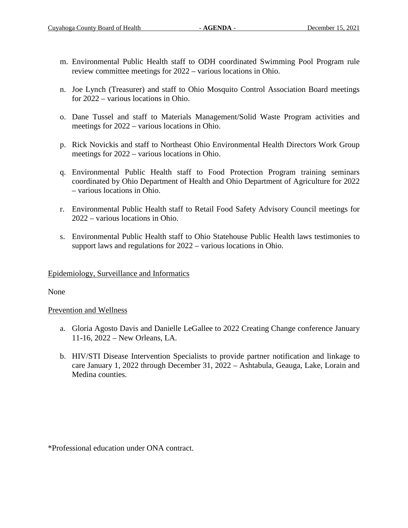- m. Environmental Public Health staff to ODH coordinated Swimming Pool Program rule review committee meetings for 2022 – various locations in Ohio.
- n. Joe Lynch (Treasurer) and staff to Ohio Mosquito Control Association Board meetings for 2022 – various locations in Ohio.
- o. Dane Tussel and staff to Materials Management/Solid Waste Program activities and meetings for 2022 – various locations in Ohio.
- p. Rick Novickis and staff to Northeast Ohio Environmental Health Directors Work Group meetings for 2022 – various locations in Ohio.
- q. Environmental Public Health staff to Food Protection Program training seminars coordinated by Ohio Department of Health and Ohio Department of Agriculture for 2022 – various locations in Ohio.
- r. Environmental Public Health staff to Retail Food Safety Advisory Council meetings for 2022 – various locations in Ohio.
- s. Environmental Public Health staff to Ohio Statehouse Public Health laws testimonies to support laws and regulations for 2022 – various locations in Ohio.

# Epidemiology, Surveillance and Informatics

None

# Prevention and Wellness

- a. Gloria Agosto Davis and Danielle LeGallee to 2022 Creating Change conference January 11-16, 2022 – New Orleans, LA.
- b. HIV/STI Disease Intervention Specialists to provide partner notification and linkage to care January 1, 2022 through December 31, 2022 – Ashtabula, Geauga, Lake, Lorain and Medina counties.

\*Professional education under ONA contract.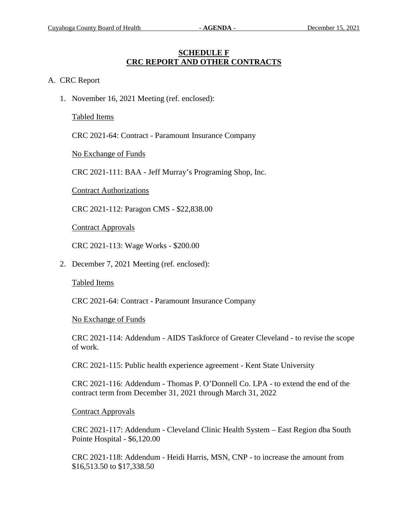## **SCHEDULE F CRC REPORT AND OTHER CONTRACTS**

#### A. CRC Report

1. November 16, 2021 Meeting (ref. enclosed):

Tabled Items

CRC 2021-64: Contract - Paramount Insurance Company

No Exchange of Funds

CRC 2021-111: BAA - Jeff Murray's Programing Shop, Inc.

Contract Authorizations

CRC 2021-112: Paragon CMS - \$22,838.00

Contract Approvals

CRC 2021-113: Wage Works - \$200.00

2. December 7, 2021 Meeting (ref. enclosed):

Tabled Items

CRC 2021-64: Contract - Paramount Insurance Company

No Exchange of Funds

CRC 2021-114: Addendum - AIDS Taskforce of Greater Cleveland - to revise the scope of work.

CRC 2021-115: Public health experience agreement - Kent State University

CRC 2021-116: Addendum - Thomas P. O'Donnell Co. LPA - to extend the end of the contract term from December 31, 2021 through March 31, 2022

Contract Approvals

CRC 2021-117: Addendum - Cleveland Clinic Health System – East Region dba South Pointe Hospital - \$6,120.00

CRC 2021-118: Addendum - Heidi Harris, MSN, CNP - to increase the amount from \$16,513.50 to \$17,338.50